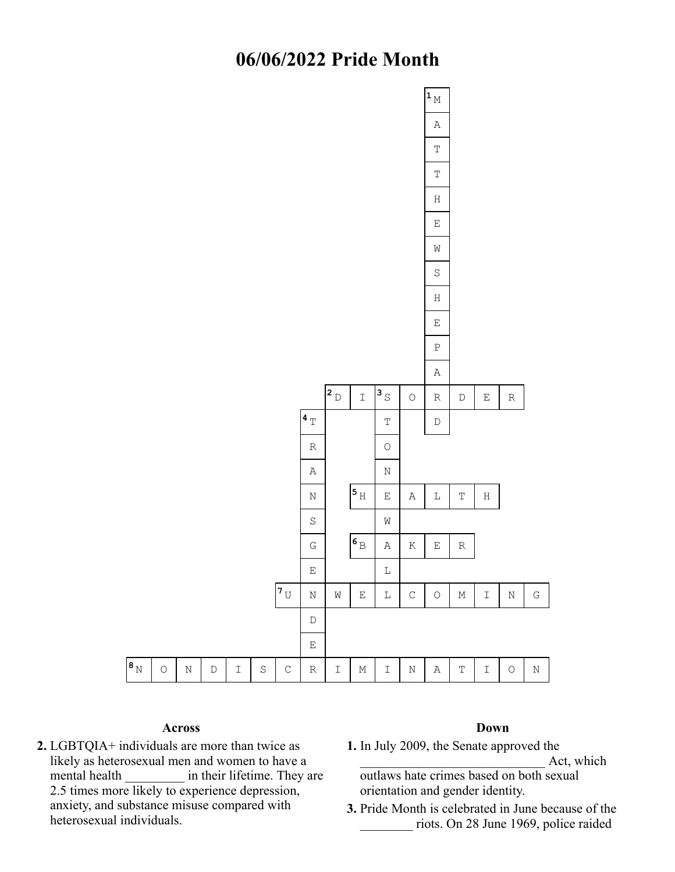## **06/06/2022 Pride Month**



## **Across**

**2.** LGBTQIA+ individuals are more than twice as likely as heterosexual men and women to have a mental health **in** their lifetime. They are 2.5 times more likely to experience depression, anxiety, and substance misuse compared with heterosexual individuals.

## **Down**

**1.** In July 2009, the Senate approved the

Act, which

- outlaws hate crimes based on both sexual orientation and gender identity.
- **3.** Pride Month is celebrated in June because of the \_\_\_\_\_\_\_\_ riots. On 28 June 1969, police raided